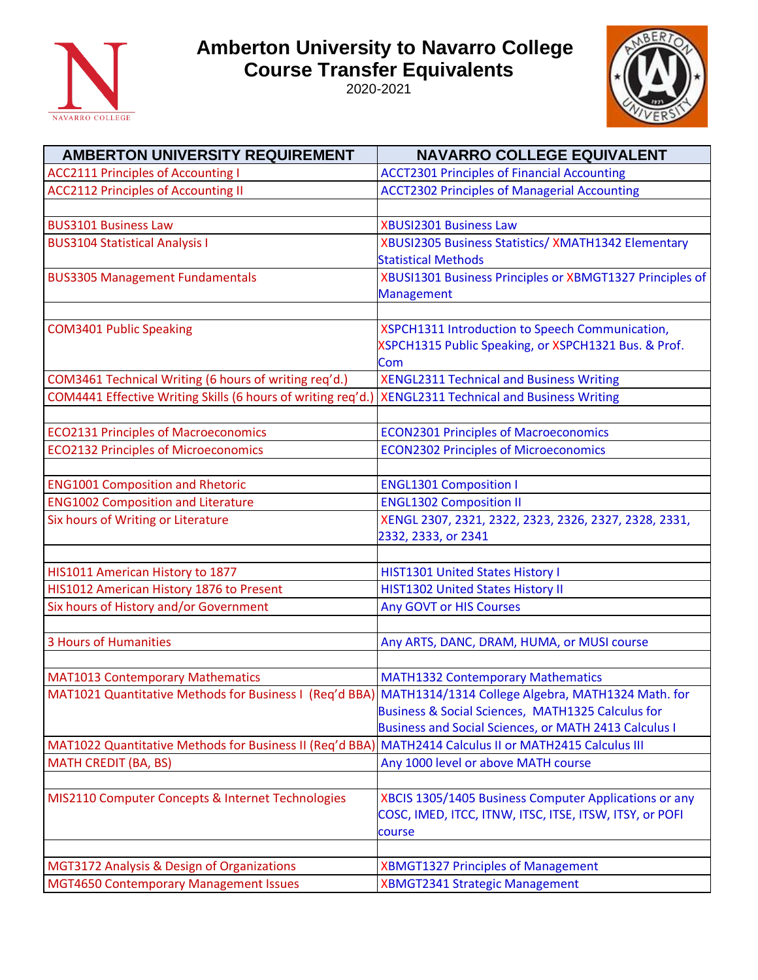

## **Amberton University to Navarro College Course Transfer Equivalents**

2020-2021



| <b>AMBERTON UNIVERSITY REQUIREMENT</b>                                                                    | <b>NAVARRO COLLEGE EQUIVALENT</b>                        |
|-----------------------------------------------------------------------------------------------------------|----------------------------------------------------------|
| <b>ACC2111 Principles of Accounting I</b>                                                                 | <b>ACCT2301 Principles of Financial Accounting</b>       |
| <b>ACC2112 Principles of Accounting II</b>                                                                | <b>ACCT2302 Principles of Managerial Accounting</b>      |
|                                                                                                           |                                                          |
| <b>BUS3101 Business Law</b>                                                                               | <b>XBUSI2301 Business Law</b>                            |
| <b>BUS3104 Statistical Analysis I</b>                                                                     | XBUSI2305 Business Statistics/ XMATH1342 Elementary      |
|                                                                                                           | <b>Statistical Methods</b>                               |
| <b>BUS3305 Management Fundamentals</b>                                                                    | XBUSI1301 Business Principles or XBMGT1327 Principles of |
|                                                                                                           | Management                                               |
|                                                                                                           |                                                          |
| <b>COM3401 Public Speaking</b>                                                                            | XSPCH1311 Introduction to Speech Communication,          |
|                                                                                                           | XSPCH1315 Public Speaking, or XSPCH1321 Bus. & Prof.     |
|                                                                                                           | Com                                                      |
| COM3461 Technical Writing (6 hours of writing req'd.)                                                     | <b>XENGL2311 Technical and Business Writing</b>          |
| COM4441 Effective Writing Skills (6 hours of writing req'd.)                                              | <b>XENGL2311 Technical and Business Writing</b>          |
|                                                                                                           |                                                          |
| <b>ECO2131 Principles of Macroeconomics</b>                                                               | <b>ECON2301 Principles of Macroeconomics</b>             |
| <b>ECO2132 Principles of Microeconomics</b>                                                               | <b>ECON2302 Principles of Microeconomics</b>             |
|                                                                                                           |                                                          |
| <b>ENG1001 Composition and Rhetoric</b>                                                                   | <b>ENGL1301 Composition I</b>                            |
| <b>ENG1002 Composition and Literature</b>                                                                 | <b>ENGL1302 Composition II</b>                           |
| Six hours of Writing or Literature                                                                        | XENGL 2307, 2321, 2322, 2323, 2326, 2327, 2328, 2331,    |
|                                                                                                           | 2332, 2333, or 2341                                      |
|                                                                                                           |                                                          |
| HIS1011 American History to 1877                                                                          | HIST1301 United States History I                         |
| HIS1012 American History 1876 to Present                                                                  | <b>HIST1302 United States History II</b>                 |
| Six hours of History and/or Government                                                                    | Any GOVT or HIS Courses                                  |
|                                                                                                           |                                                          |
| <b>3 Hours of Humanities</b>                                                                              | Any ARTS, DANC, DRAM, HUMA, or MUSI course               |
|                                                                                                           |                                                          |
| <b>MAT1013 Contemporary Mathematics</b>                                                                   | <b>MATH1332 Contemporary Mathematics</b>                 |
| MAT1021 Quantitative Methods for Business I (Req'd BBA) MATH1314/1314 College Algebra, MATH1324 Math. for |                                                          |
|                                                                                                           | Business & Social Sciences, MATH1325 Calculus for        |
|                                                                                                           | Business and Social Sciences, or MATH 2413 Calculus I    |
| MAT1022 Quantitative Methods for Business II (Req'd BBA)                                                  | MATH2414 Calculus II or MATH2415 Calculus III            |
| <b>MATH CREDIT (BA, BS)</b>                                                                               | Any 1000 level or above MATH course                      |
|                                                                                                           |                                                          |
| MIS2110 Computer Concepts & Internet Technologies                                                         | XBCIS 1305/1405 Business Computer Applications or any    |
|                                                                                                           | COSC, IMED, ITCC, ITNW, ITSC, ITSE, ITSW, ITSY, or POFI  |
|                                                                                                           | course                                                   |
|                                                                                                           |                                                          |
| MGT3172 Analysis & Design of Organizations                                                                | <b>XBMGT1327 Principles of Management</b>                |
| <b>MGT4650 Contemporary Management Issues</b>                                                             | XBMGT2341 Strategic Management                           |